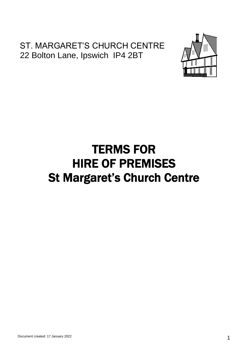# ST. MARGARET'S CHURCH CENTRE 22 Bolton Lane, Ipswich IP4 2BT



# TERMS FOR HIRE OF PREMISES St Margaret's Church Centre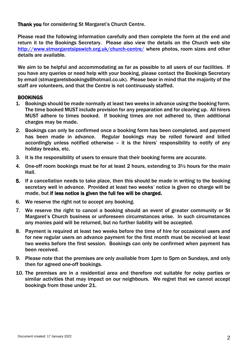Thank you for considering St Margaret's Church Centre.

Please read the following information carefully and then complete the form at the end and return it to the Bookings Secretary. Please also view the details on the Church web site http://www.stmargaretsipswich.org.uk/church-centre/ where photos, room sizes and other details are available.

We aim to be helpful and accommodating as far as possible to all users of our facilities. If you have any queries or need help with your booking, please contact the Bookings Secretary by email (stmargaretsbookings@hotmail.co.uk). Please bear in mind that the majority of the staff are volunteers, and that the Centre is not continuously staffed.

### BOOKINGS

- 1. Bookings should be made normally at least two weeks in advance using the booking form. The time booked MUST include provision for any preparation and for clearing up. All hirers MUST adhere to times booked. If booking times are not adhered to, then additional charges may be made.
- 2. Bookings can only be confirmed once a booking form has been completed, and payment has been made in advance. Regular bookings may be rolled forward and billed accordingly unless notified otherwise – it is the hirers' responsibility to notify of any holiday breaks, etc.
- 3. It is the responsibility of users to ensure that their booking forms are accurate.
- 4. One-off room bookings must be for at least 2 hours, extending to 3½ hours for the main Hall.
- 5. If a cancellation needs to take place, then this should be made in writing to the booking secretary well in advance. Provided at least two weeks' notice is given no charge will be made, but if less notice is given the full fee will be charged.
- 6. We reserve the right not to accept any booking.
- 7. We reserve the right to cancel a booking should an event of greater community or St Margaret's Church business or unforeseen circumstances arise. In such circumstances any monies paid will be returned, but no further liability will be accepted.
- 8. Payment is required at least two weeks before the time of hire for occasional users and for new regular users an advance payment for the first month must be received at least two weeks before the first session. Bookings can only be confirmed when payment has been received.
- 9. Please note that the premises are only available from 1pm to 5pm on Sundays, and only then for agreed one-off bookings.
- 10. The premises are in a residential area and therefore not suitable for noisy parties or similar activities that may impact on our neighbours. We regret that we cannot accept bookings from those under 21.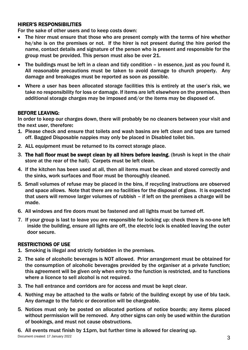## HIRER'S RESPONSIBILITIES

For the sake of other users and to keep costs down:

- The hirer must ensure that those who are present comply with the terms of hire whether he/she is on the premises or not. If the hirer is not present during the hire period the name, contact details and signature of the person who is present and responsible for the group must be provided. This person must also be over 21.
- The buildings must be left in a clean and tidy condition in essence, just as you found it. All reasonable precautions must be taken to avoid damage to church property. Any damage and breakages must be reported as soon as possible.
- Where a user has been allocated storage facilities this is entirely at the user's risk, we take no responsibility for loss or damage. If items are left elsewhere on the premises, then additional storage charges may be imposed and/or the items may be disposed of.

### BEFORE LEAVING:

In order to keep our charges down, there will probably be no cleaners between your visit and the next user, therefore:

- 1. Please check and ensure that toilets and wash basins are left clean and taps are turned off. Bagged Disposable nappies may only be placed in Disabled toilet bin.
- 2. ALL equipment must be returned to its correct storage place.
- 3. The hall floor must be swept clean by all hirers before leaving, (brush is kept in the chair store at the rear of the hall). Carpets must be left clean.
- 4. If the kitchen has been used at all, then all items must be clean and stored correctly and the sinks, work surfaces and floor must be thoroughly cleaned.
- 5. Small volumes of refuse may be placed in the bins, if recycling instructions are observed and space allows. Note that there are no facilities for the disposal of glass. It is expected that users will remove larger volumes of rubbish – if left on the premises a charge will be made.
- 6. All windows and fire doors must be fastened and all lights must be turned off.
- 7. If your group is last to leave you are responsible for locking up: check there is no-one left inside the building, ensure all lights are off, the electric lock is enabled leaving the outer door secure.

### RESTRICTIONS OF USE

- 1. Smoking is illegal and strictly forbidden in the premises.
- 2. The sale of alcoholic beverages is NOT allowed. Prior arrangement must be obtained for the consumption of alcoholic beverages provided by the organiser at a private function; this agreement will be given only when entry to the function is restricted, and to functions where a licence to sell alcohol is not required.
- 3. The hall entrance and corridors are for access and must be kept clear.
- 4. Nothing may be attached to the walls or fabric of the building except by use of blu tack. Any damage to the fabric or decoration will be chargeable.
- 5. Notices must only be posted on allocated portions of notice boards; any items placed without permission will be removed. Any other signs can only be used within the duration of bookings, and must not cause obstructions.

6. All events must finish by 11pm, but further time is allowed for clearing up.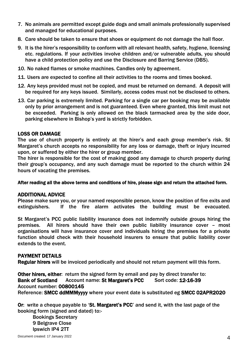- 7. No animals are permitted except guide dogs and small animals professionally supervised and managed for educational purposes.
- 8. Care should be taken to ensure that shoes or equipment do not damage the hall floor.
- 9. It is the hirer's responsibility to conform with all relevant health, safety, hygiene, licensing etc. regulations. If your activities involve children and/or vulnerable adults, you should have a child protection policy and use the Disclosure and Barring Service (DBS).
- 10. No naked flames or smoke machines. Candles only by agreement.
- 11. Users are expected to confine all their activities to the rooms and times booked.
- 12. Any keys provided must not be copied, and must be returned on demand. A deposit will be required for any keys issued. Similarly, access codes must not be disclosed to others.
- 13. Car parking is extremely limited. Parking for a single car per booking may be available only by prior arrangement and is not guaranteed. Even where granted, this limit must not be exceeded. Parking is only allowed on the black tarmacked area by the side door, parking elsewhere in Bishop's yard is strictly forbidden.

### LOSS OR DAMAGE

The use of church property is entirely at the hirer's and each group member's risk. St Margaret's church accepts no responsibility for any loss or damage, theft or injury incurred upon, or suffered by either the hirer or group member.

The hirer is responsible for the cost of making good any damage to church property during their group's occupancy, and any such damage must be reported to the church within 24 hours of vacating the premises.

After reading all the above terms and conditions of hire, please sign and return the attached form.

#### ADDITIONAL ADVICE

Please make sure you, or your named responsible person, know the position of fire exits and extinguishers. If the fire alarm activates the building must be evacuated.

St Margaret's PCC public liability insurance does not indemnify outside groups hiring the premises. All hirers should have their own public liability insurance cover – most organisations will have insurance cover and individuals hiring the premises for a private function should check with their household insurers to ensure that public liability cover extends to the event.

#### PAYMENT DETAILS

Regular hirers will be invoiced periodically and should not return payment will this form.

Other hirers, either: return the signed form by email and pay by direct transfer to: Bank of Scotland Account name: St Margaret's PCC Sort code: 12-16-39 Account number: 00800145 Reference: SMCC ddMMMyyyy where your event date is substituted eg SMCC 02APR2020

Or: write a cheque payable to 'St. Margaret's PCC' and send it, with the last page of the booking form (signed and dated) to:-

Bookings Secretary 9 Belgrave Close Ipswich IP4 2TT